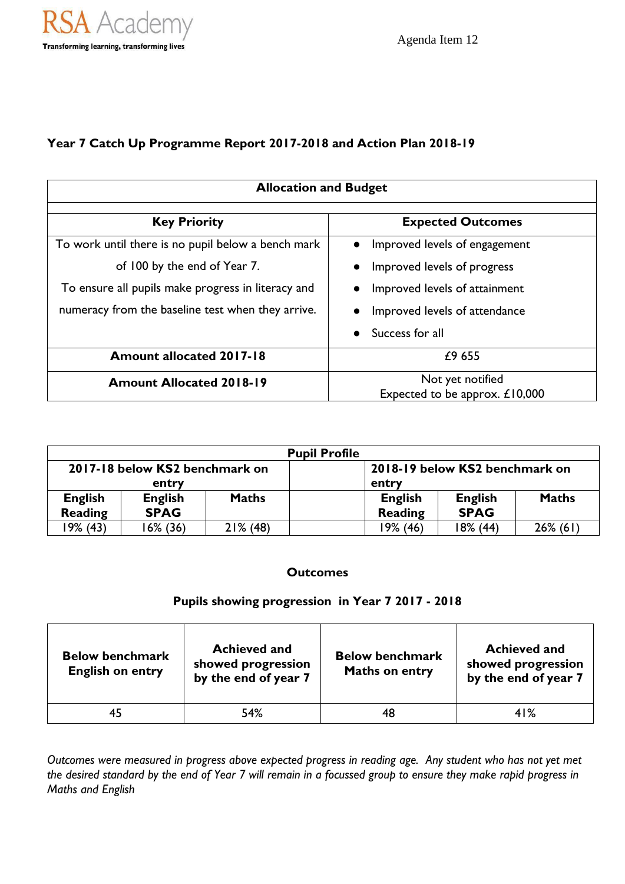## **Year 7 Catch Up Programme Report 2017-2018 and Action Plan 2018-19**

| <b>Allocation and Budget</b>                       |                                |  |  |  |
|----------------------------------------------------|--------------------------------|--|--|--|
| <b>Key Priority</b>                                | <b>Expected Outcomes</b>       |  |  |  |
| To work until there is no pupil below a bench mark | Improved levels of engagement  |  |  |  |
| of 100 by the end of Year 7.                       | Improved levels of progress    |  |  |  |
| To ensure all pupils make progress in literacy and | Improved levels of attainment  |  |  |  |
| numeracy from the baseline test when they arrive.  | Improved levels of attendance  |  |  |  |
|                                                    | Success for all                |  |  |  |
| <b>Amount allocated 2017-18</b>                    | £9655                          |  |  |  |
| <b>Amount Allocated 2018-19</b>                    | Not yet notified               |  |  |  |
|                                                    | Expected to be approx. £10,000 |  |  |  |

| <b>Pupil Profile</b>           |                |                                |                |                |              |  |
|--------------------------------|----------------|--------------------------------|----------------|----------------|--------------|--|
| 2017-18 below KS2 benchmark on |                | 2018-19 below KS2 benchmark on |                |                |              |  |
| entry                          |                | entry                          |                |                |              |  |
| <b>English</b>                 | <b>English</b> | <b>Maths</b>                   | <b>English</b> | <b>English</b> | <b>Maths</b> |  |
| <b>Reading</b>                 | <b>SPAG</b>    |                                | Reading        | <b>SPAG</b>    |              |  |
| 19% (43)                       | $16\%$ (36)    | $21\%$ (48)                    | 19% (46)       | 18% (44)       | $26\%$ (61)  |  |

## **Outcomes**

## **Pupils showing progression in Year 7 2017 - 2018**

| <b>Below benchmark</b><br><b>English on entry</b> | <b>Achieved and</b><br>showed progression<br>by the end of year 7 | <b>Below benchmark</b><br><b>Maths on entry</b> | <b>Achieved and</b><br>showed progression<br>by the end of year 7 |
|---------------------------------------------------|-------------------------------------------------------------------|-------------------------------------------------|-------------------------------------------------------------------|
|                                                   | 54%                                                               | 48                                              | 41%                                                               |

*Outcomes were measured in progress above expected progress in reading age. Any student who has not yet met the desired standard by the end of Year 7 will remain in a focussed group to ensure they make rapid progress in Maths and English*